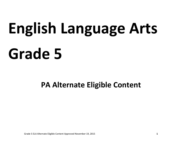# **English Language Arts Grade 5**

**PA Alternate Eligible Content**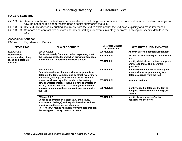## **PA Core Standards:**

- CC.1.3.5.A Determine a theme of a text from details in the text, including how characters in a story or drama respond to challenges or how the speaker in a poem reflects upon a topic; summarize the text.
- CC.1.3.5.B Cite textual evidence by quoting accurately from the text to explain what the text says explicitly and make inferences.
- CC.1.3.5.C Compare and contrast two or more characters, settings, or events in a story or drama, drawing on specific details in the text.

#### **Assessment Anchor**

E05.A-K.1 Key Ideas and Details

| <b>DESCRIPTOR</b>                                         | <b>ELIGIBLE CONTENT</b>                                                                                                                                                                                                                                                                                                                                                                                                      | <b>Alternate Eligible</b><br><b>Content Code</b> | <b>ALTERNATE ELIGIBLE CONTENT</b>                                                                            |
|-----------------------------------------------------------|------------------------------------------------------------------------------------------------------------------------------------------------------------------------------------------------------------------------------------------------------------------------------------------------------------------------------------------------------------------------------------------------------------------------------|--------------------------------------------------|--------------------------------------------------------------------------------------------------------------|
| E05.A-K.1.1<br><b>Demonstrate</b><br>understanding of key | E05.A-K.1.1.1<br>Quote accurately from a text when explaining what<br>the text says explicitly and when drawing inferences<br>and/or making generalizations from the text.                                                                                                                                                                                                                                                   | E05AK1.1.1a                                      | Answer a literal question about a text                                                                       |
|                                                           |                                                                                                                                                                                                                                                                                                                                                                                                                              | E05AK1.1.1b                                      | Answer an inferential question about a<br>text                                                               |
| ideas and details in<br>literature                        |                                                                                                                                                                                                                                                                                                                                                                                                                              | E05AK1.1.1c                                      | Identify details from the text to support<br>answers to literal and inferential<br>questions                 |
|                                                           | E05.A-K.1.1.2<br>Determine a theme of a story, drama, or poem from<br>details in the text, Compare and contrast two or more<br>characters, settings, or events in a story, drama, or<br>poem, drawing on specific details in the text (e.g.,<br>how characters interact) including how characters in<br>a story or drama respond to challenges or how the<br>speaker in a poem reflects upon a topic; summarize<br>the text. | E05AK1.1.2a                                      | Identify the theme/central message of<br>a story, drama, or poem using key<br>details/evidence from the text |
|                                                           |                                                                                                                                                                                                                                                                                                                                                                                                                              | E05AK1.1.2b                                      | <b>Summarize the text</b>                                                                                    |
|                                                           |                                                                                                                                                                                                                                                                                                                                                                                                                              | E05AK1.1.2c                                      | Identify specific details in the text to<br>compare two characters, settings, or<br>events                   |
|                                                           | E05.A-K.1.1.3<br>Describe characters in a story (e.g., their traits,<br>motivations, feelings) and explain how their actions<br>contribute to the sequence of events.<br>Note: "Story" means narration of events told through<br>the text types of story, drama, or poem.                                                                                                                                                    | E05AK1.1.3a                                      | Identify how characters' actions<br>contribute to the story                                                  |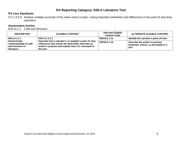## **PA Core Standards:**

CC.1.3.5.D Analyze multiple accounts of the same event or topic, noting important similarities and differences in the point of view they represent.

# **Assessment Anchor**

E05.A-C.2 Craft and Structure

| <b>DESCRIPTOR</b>                                                               | <b>ELIGIBLE CONTENT</b>                                                                                                                                                     | <b>Alternate Eligible</b><br><b>Content Code</b> | <b>ALTERNATE ELIGIBLE CONTENT</b>                                              |
|---------------------------------------------------------------------------------|-----------------------------------------------------------------------------------------------------------------------------------------------------------------------------|--------------------------------------------------|--------------------------------------------------------------------------------|
| E05.A-C.2.1                                                                     | E05.A-C.2.1.1                                                                                                                                                               | E05AC2.1.1a                                      | Identify the narrator's point-of-view                                          |
| <b>Demonstrate</b><br>understanding of craft<br>and structure in<br>literature. | Describe how a narrator's or speaker's point of view<br>influences how events are described; describe an<br>author's purpose and explain how it is conveyed in<br>the text. | E05AC2.1.1b                                      | Describe the author's purpose<br>(entertain, inform, or persuade) in a<br>text |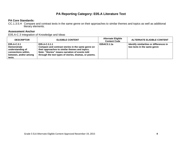# **PA Core Standards:**

CC.1.3.5.H Compare and contrast texts in the same genre on their approaches to similar themes and topics as well as additional literary elements.

#### **Assessment Anchor**

E05.A-C.3 Integration of Knowledge and Ideas

| <b>DESCRIPTOR</b>                                                                                               | <b>ELIGIBLE CONTENT</b>                                                                                                                                                                                                        | <b>Alternate Eligible</b><br><b>Content Code</b> | <b>ALTERNATE ELIGIBLE CONTENT</b>                                      |
|-----------------------------------------------------------------------------------------------------------------|--------------------------------------------------------------------------------------------------------------------------------------------------------------------------------------------------------------------------------|--------------------------------------------------|------------------------------------------------------------------------|
| E05.A-C.3.1<br><b>Demonstrate</b><br>understanding of<br>connections within,<br>between, and/or among<br>texts. | E05.A-C.3.1.1<br>Compare and contrast stories in the same genre on<br>their approaches to similar themes and topics.<br>Note: "Stories" means narration of events told<br>through the text types of stories, dramas, or poems. | E05AC3.1.1a                                      | Identify similarities or differences in<br>two texts in the same genre |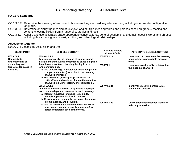## **PA Core Standards:**

- CC.1.3.5.F Determine the meaning of words and phrases as they are used in grade-level text, including interpretation of figurative language.
- CC.1.3.5.I Determine or clarify the meaning of unknown and multiple-meaning words and phrases based on grade 5 reading and content, choosing flexibly from a range of strategies and tools.
- CC.1.3.5.J Acquire and use accurately grade-appropriate conversational, general academic, and domain-specific words and phrases, including those that signal contrast, addition, and other logical relationships.

#### **Assessment Anchor**

E05.A-V.4 Vocabulary Acquisition and Use

| <b>DESCRIPTOR</b>                                                                                                                                                                                                                                                                                                                                                                                                                                                                                                                                                                                                                                                                                                                                                                                                                                                                                                                                                                                                                                           | <b>ELIGIBLE CONTENT</b> | <b>Alternate Eligible</b><br><b>Content Code</b>          | <b>ALTERNATE ELIGIBLE CONTENT</b>                                                 |
|-------------------------------------------------------------------------------------------------------------------------------------------------------------------------------------------------------------------------------------------------------------------------------------------------------------------------------------------------------------------------------------------------------------------------------------------------------------------------------------------------------------------------------------------------------------------------------------------------------------------------------------------------------------------------------------------------------------------------------------------------------------------------------------------------------------------------------------------------------------------------------------------------------------------------------------------------------------------------------------------------------------------------------------------------------------|-------------------------|-----------------------------------------------------------|-----------------------------------------------------------------------------------|
| E05.A-V.4.1.1<br>E05.A-V.4.1<br>Determine or clarify the meaning of unknown and<br><b>Demonstrate</b><br>multiple-meaning words and phrases based on grade<br>understanding of<br>5 reading and content, choosing flexibly from a<br>vocabulary and<br>figurative language in<br>range of strategies.<br>literature.<br>a. Use context (e.g., cause/effect relationships and<br>comparisons in text) as a clue to the meaning<br>of a word or phrase.<br>b. Use common, grade-appropriate Greek and<br>Latin affixes and roots as clues to the meaning<br>of a word (e.g., photograph, photosynthesis).<br>E05.A-V.4.1.2<br>Demonstrate understanding of figurative language,<br>word relationships, and nuances in word meanings.<br>a. Interpret figurative language (e.g., simile,<br>metaphor, personification) in context.<br>b. Recognize and explain the meaning of common<br>idioms, adages, and proverbs.<br>c. Use the relationship between particular words<br>(e.g., synonyms, antonyms, homographs) to<br>better understand each of the words. |                         | E05AV4.1.1a                                               | Use context to determine the meaning<br>of an unknown or multiple meaning<br>word |
|                                                                                                                                                                                                                                                                                                                                                                                                                                                                                                                                                                                                                                                                                                                                                                                                                                                                                                                                                                                                                                                             |                         | E05AV4.1.1b                                               | Use a root word or affix to determine<br>the meaning of a word                    |
|                                                                                                                                                                                                                                                                                                                                                                                                                                                                                                                                                                                                                                                                                                                                                                                                                                                                                                                                                                                                                                                             | E05AV4.1.2a             | Identify the meaning of figurative<br>language in context |                                                                                   |
|                                                                                                                                                                                                                                                                                                                                                                                                                                                                                                                                                                                                                                                                                                                                                                                                                                                                                                                                                                                                                                                             |                         | E05AV4.1.2b                                               | Use relationships between words to<br>aid comprehension                           |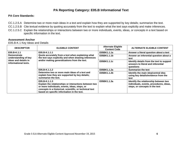# **PA Reporting Category: E05.B Informational Text**

## **PA Core Standards:**

- CC.1.2.5.A Determine two or more main ideas in a text and explain how they are supported by key details; summarize the text.
- CC.1.2.5.B Cite textual evidence by quoting accurately from the text to explain what the text says explicitly and make inferences.
- CC.1.2.5.C Explain the relationships or interactions between two or more individuals, events, ideas, or concepts in a text based on specific information in the text.

#### **Assessment Anchor**

E05.B-K.1 Key Ideas and Details

| <b>DESCRIPTOR</b>                                                                          | <b>ELIGIBLE CONTENT</b>                                                                                                                                                                                                          | <b>Alternate Eligible</b><br><b>Content Code</b> | <b>ALTERNATE ELIGIBLE CONTENT</b>                                                                                  |
|--------------------------------------------------------------------------------------------|----------------------------------------------------------------------------------------------------------------------------------------------------------------------------------------------------------------------------------|--------------------------------------------------|--------------------------------------------------------------------------------------------------------------------|
| E05.B-K.1.1                                                                                | E05.B-K.1.1.1<br>Quote accurately from a text when explaining what<br>the text says explicitly and when drawing inferences<br>and/or making generalizations from the text.                                                       | E05BK1.1.1a                                      | Answer a literal question about a text                                                                             |
| <b>Demonstrate</b><br>understanding of key<br>ideas and details in<br>informational texts. |                                                                                                                                                                                                                                  | E05BK1.1.1b                                      | Answer an inferential question about a<br>text                                                                     |
|                                                                                            |                                                                                                                                                                                                                                  | E05BK1.1.1c                                      | Identify details from the text to support<br>answers to literal and inferential<br>questions                       |
|                                                                                            | E05.B-K.1.1.2<br>Determine two or more main ideas of a text and<br>explain how they are supported by key details;<br>summarize the text.                                                                                         | E05BK1.1.2a                                      | <b>Summarize the text</b>                                                                                          |
|                                                                                            |                                                                                                                                                                                                                                  | E05BK1.1.2b                                      | Identify the main idea/central idea<br>using key details/evidence from the<br>text                                 |
|                                                                                            | E05.B-K.1.1.3<br>Explain the relationships or interactions between two<br>or more individuals, events, ideas, steps, or<br>concepts in a historical, scientific, or technical text<br>based on specific information in the text. | E05BK1.1.3a                                      | Identify the relationship between two<br>individuals, events, procedures, ideas,<br>steps, or concepts in the text |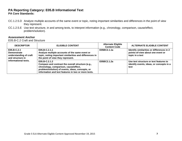# **PA Reporting Category: E05.B Informational Text PA Core Standards:**

- CC.1.2.5.D Analyze multiple accounts of the same event or topic, noting important similarities and differences in the point of view they represent.
- CC.1.2.5.E Use text structure, in and among texts, to interpret information (e.g., chronology, comparison, cause/effect, problem/solution).

#### **Assessment Anchor**

E05.B-C.2 Craft and Structure

| <b>DESCRIPTOR</b>                                                                                       | <b>ELIGIBLE CONTENT</b>                                                                                                                                                                                                | <b>Alternate Eligible</b><br><b>Content Code</b> | <b>ALTERNATE ELIGIBLE CONTENT</b>                                                                 |
|---------------------------------------------------------------------------------------------------------|------------------------------------------------------------------------------------------------------------------------------------------------------------------------------------------------------------------------|--------------------------------------------------|---------------------------------------------------------------------------------------------------|
| E05.B-C.2.1<br><b>Demonstrate</b><br>understanding of craft<br>and structure in<br>informational texts. | E05.B-C.2.1.1<br>Analyze multiple accounts of the same event or<br>topic, noting important similarities and differences in<br>the point of view they represent.                                                        | E05BC2.1.1a                                      | Identify similarities or differences in 2<br>points-of-view about one event or<br>topic in a text |
|                                                                                                         | E05.B-C.2.1.2<br>Compare and contrast the overall structure (e.g.,<br>chronology, comparison, cause/effect,<br>problem/solution) of events, ideas, concepts, or<br>information and text features in two or more texts. | E05BC2.1.2a                                      | Use text structure or text features to<br>identify events, ideas, or concepts in a<br>text        |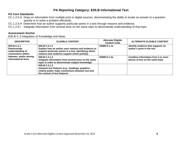# **PA Reporting Category: E05.B Informational Text**

## **PA Core Standards:**

- CC.1.2.5.G Draw on information from multiple print or digital sources, demonstrating the ability to locate an answer to a question quickly or to solve a problem efficiently.
- CC.1.2.5.H Determine how an author supports particular points in a text through reasons and evidence.
- CC.1.2.5.I Integrate information from several texts on the same topic to demonstrate understanding of that topic.

#### **Assessment Anchor**

E05.B-C.3 Integration of Knowledge and Ideas

| <b>DESCRIPTOR</b>                                                                                                             | <b>ELIGIBLE CONTENT</b>                                                                                                                                                       | <b>Alternate Eligible</b><br><b>Content Code</b> | <b>ALTERNATE ELIGIBLE CONTENT</b>                                      |
|-------------------------------------------------------------------------------------------------------------------------------|-------------------------------------------------------------------------------------------------------------------------------------------------------------------------------|--------------------------------------------------|------------------------------------------------------------------------|
| E05.B-C.3.1<br><b>Demonstrate</b><br>understanding of<br>connections within,<br>between, and/or among<br>informational texts. | E05.B-C.3.1.1<br>Explain how an author uses reasons and evidence to<br>support particular points in a text, identifying which<br>reasons and evidence support which point(s). | E05BC3.1.1a                                      | Identify evidence that supports an<br>author's point in the text       |
|                                                                                                                               | E05.B-C.3.1.2<br>Integrate information from several texts on the same<br>topic in order to demonstrate subject knowledge.                                                     | E05BC3.1.2a                                      | Combine information from 2 or more<br>pieces of text on the same topic |
|                                                                                                                               | E05.B-C.3.1.3<br>Interpret text features (e.g., headings, graphics,<br>charts) and/or make connections between text and<br>the content of text features.                      |                                                  |                                                                        |